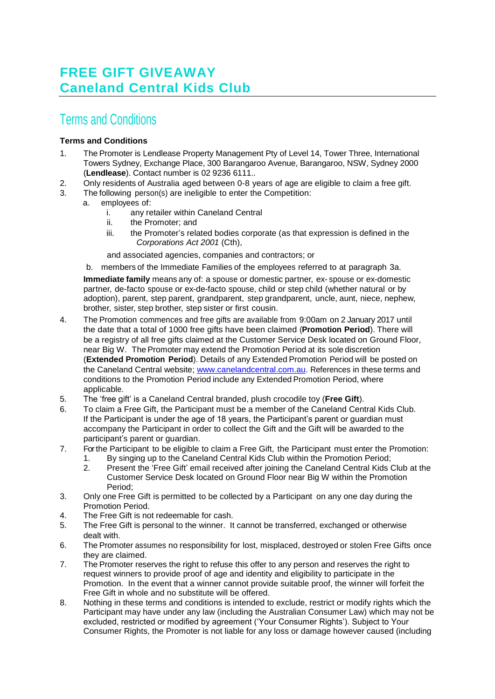## **FREE GIFT GIVEAWAY Caneland Central Kids Club**

## Terms and Conditions

## **Terms and Conditions**

- 1. The Promoter is Lendlease Property Management Pty of Level 14, Tower Three, International Towers Sydney, Exchange Place, 300 Barangaroo Avenue, Barangaroo, NSW, Sydney 2000 (**Lendlease**). Contact number is 02 9236 6111..
- 2. Only residents of Australia aged between 0-8 years of age are eligible to claim a free gift.
- 3. The following person(s) are ineligible to enter the Competition:
	- a. employees of:
		- i. any retailer within Caneland Central
		- ii. the Promoter; and
		- iii. the Promoter's related bodies corporate (as that expression is defined in the *Corporations Act 2001* (Cth),

and associated agencies, companies and contractors; or

b. members of the Immediate Families of the employees referred to at paragraph 3a.

**Immediate family** means any of: a spouse or domestic partner, ex- spouse or ex-domestic partner, de-facto spouse or ex-de-facto spouse, child or step child (whether natural or by adoption), parent, step parent, grandparent, step grandparent, uncle, aunt, niece, nephew, brother, sister, step brother, step sister or first cousin.

- 4. The Promotion commences and free gifts are available from 9:00am on 2 January 2017 until the date that a total of 1000 free gifts have been claimed (**Promotion Period**). There will be a registry of all free gifts claimed at the Customer Service Desk located on Ground Floor, near Big W. The Promoter may extend the Promotion Period at its sole discretion (**Extended Promotion Period**). Details of any Extended Promotion Period will be posted on the Caneland Central website; [www.canelandcentral.com.au.](http://www.canelandcentral.com.au/) References in these terms and conditions to the Promotion Period include any Extended Promotion Period, where applicable.
- 5. The 'free gift' is a Caneland Central branded, plush crocodile toy (**Free Gift**).
- 6. To claim a Free Gift, the Participant must be a member of the Caneland Central Kids Club. If the Participant is under the age of 18 years, the Participant's parent or guardian must accompany the Participant in order to collect the Gift and the Gift will be awarded to the participant's parent or guardian.
- 7. Forthe Participant to be eligible to claim a Free Gift, the Participant must enter the Promotion:
	- 1. By singing up to the Caneland Central Kids Club within the Promotion Period;
		- 2. Present the 'Free Gift' email received after joining the Caneland Central Kids Club at the Customer Service Desk located on Ground Floor near Big W within the Promotion Period;
- 3. Only one Free Gift is permitted to be collected by a Participant on any one day during the Promotion Period.
- 4. The Free Gift is not redeemable for cash.
- 5. The Free Gift is personal to the winner. It cannot be transferred, exchanged or otherwise dealt with.
- 6. The Promoter assumes no responsibility for lost, misplaced, destroyed or stolen Free Gifts once they are claimed.
- 7. The Promoter reserves the right to refuse this offer to any person and reserves the right to request winners to provide proof of age and identity and eligibility to participate in the Promotion. In the event that a winner cannot provide suitable proof, the winner will forfeit the Free Gift in whole and no substitute will be offered.
- 8. Nothing in these terms and conditions is intended to exclude, restrict or modify rights which the Participant may have under any law (including the Australian Consumer Law) which may not be excluded, restricted or modified by agreement ('Your Consumer Rights'). Subject to Your Consumer Rights, the Promoter is not liable for any loss or damage however caused (including